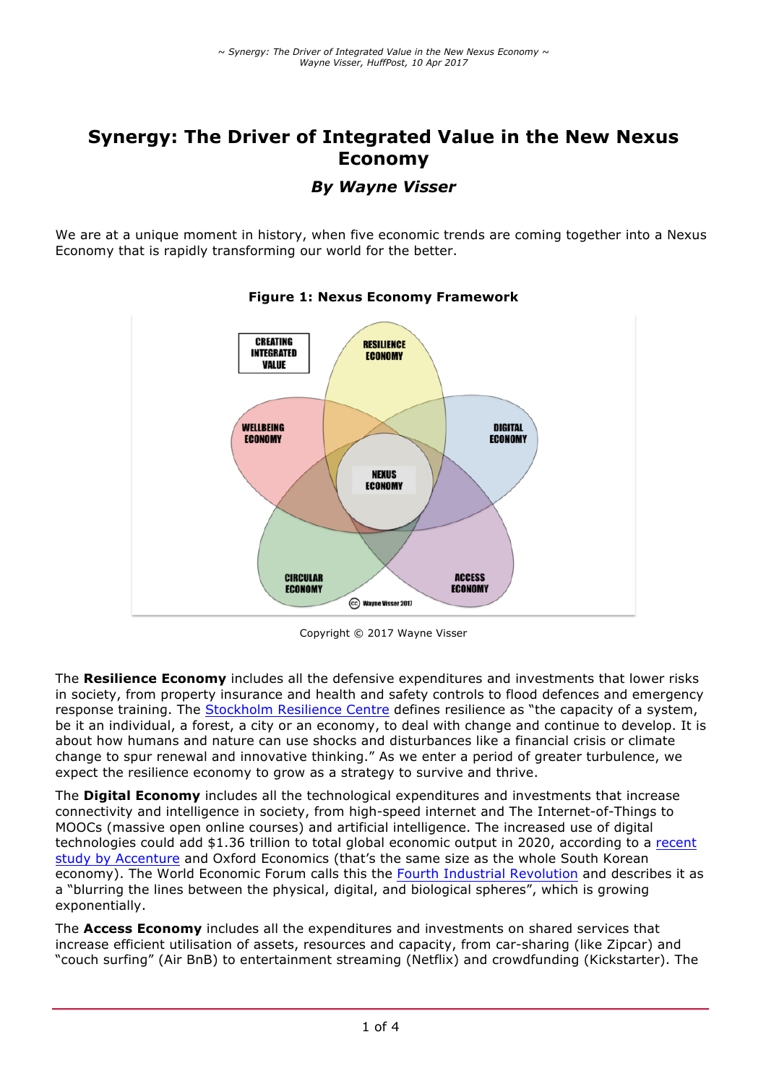# **Synergy: The Driver of Integrated Value in the New Nexus Economy**

## *By Wayne Visser*

We are at a unique moment in history, when five economic trends are coming together into a Nexus Economy that is rapidly transforming our world for the better.



#### **Figure 1: Nexus Economy Framework**

Copyright © 2017 Wayne Visser

The **Resilience Economy** includes all the defensive expenditures and investments that lower risks in society, from property insurance and health and safety controls to flood defences and emergency response training. The Stockholm Resilience Centre defines resilience as "the capacity of a system, be it an individual, a forest, a city or an economy, to deal with change and continue to develop. It is about how humans and nature can use shocks and disturbances like a financial crisis or climate change to spur renewal and innovative thinking." As we enter a period of greater turbulence, we expect the resilience economy to grow as a strategy to survive and thrive.

The **Digital Economy** includes all the technological expenditures and investments that increase connectivity and intelligence in society, from high-speed internet and The Internet-of-Things to MOOCs (massive open online courses) and artificial intelligence. The increased use of digital technologies could add \$1.36 trillion to total global economic output in 2020, according to a recent study by Accenture and Oxford Economics (that's the same size as the whole South Korean economy). The World Economic Forum calls this the Fourth Industrial Revolution and describes it as a "blurring the lines between the physical, digital, and biological spheres", which is growing exponentially.

The **Access Economy** includes all the expenditures and investments on shared services that increase efficient utilisation of assets, resources and capacity, from car-sharing (like Zipcar) and "couch surfing" (Air BnB) to entertainment streaming (Netflix) and crowdfunding (Kickstarter). The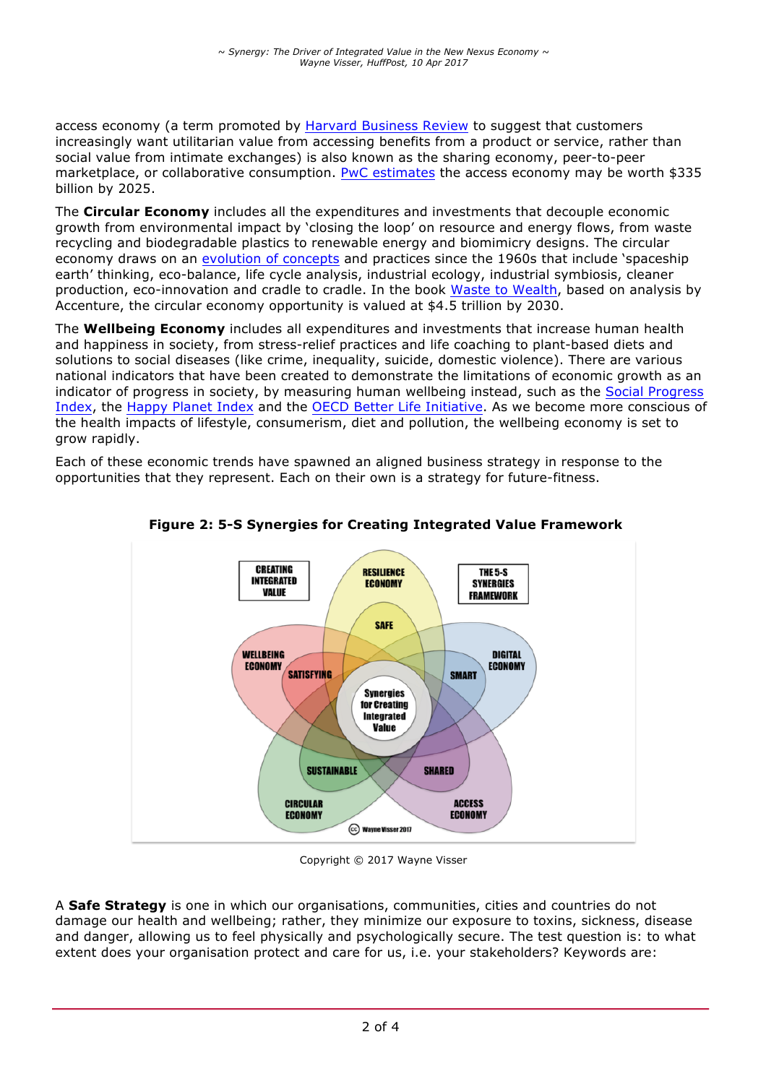access economy (a term promoted by Harvard Business Review to suggest that customers increasingly want utilitarian value from accessing benefits from a product or service, rather than social value from intimate exchanges) is also known as the sharing economy, peer-to-peer marketplace, or collaborative consumption. PwC estimates the access economy may be worth \$335 billion by 2025.

The **Circular Economy** includes all the expenditures and investments that decouple economic growth from environmental impact by 'closing the loop' on resource and energy flows, from waste recycling and biodegradable plastics to renewable energy and biomimicry designs. The circular economy draws on an evolution of concepts and practices since the 1960s that include 'spaceship earth' thinking, eco-balance, life cycle analysis, industrial ecology, industrial symbiosis, cleaner production, eco-innovation and cradle to cradle. In the book Waste to Wealth, based on analysis by Accenture, the circular economy opportunity is valued at \$4.5 trillion by 2030.

The **Wellbeing Economy** includes all expenditures and investments that increase human health and happiness in society, from stress-relief practices and life coaching to plant-based diets and solutions to social diseases (like crime, inequality, suicide, domestic violence). There are various national indicators that have been created to demonstrate the limitations of economic growth as an indicator of progress in society, by measuring human wellbeing instead, such as the Social Progress Index, the Happy Planet Index and the OECD Better Life Initiative. As we become more conscious of the health impacts of lifestyle, consumerism, diet and pollution, the wellbeing economy is set to grow rapidly.

Each of these economic trends have spawned an aligned business strategy in response to the opportunities that they represent. Each on their own is a strategy for future-fitness.



**Figure 2: 5-S Synergies for Creating Integrated Value Framework**

Copyright © 2017 Wayne Visser

A **Safe Strategy** is one in which our organisations, communities, cities and countries do not damage our health and wellbeing; rather, they minimize our exposure to toxins, sickness, disease and danger, allowing us to feel physically and psychologically secure. The test question is: to what extent does your organisation protect and care for us, i.e. your stakeholders? Keywords are: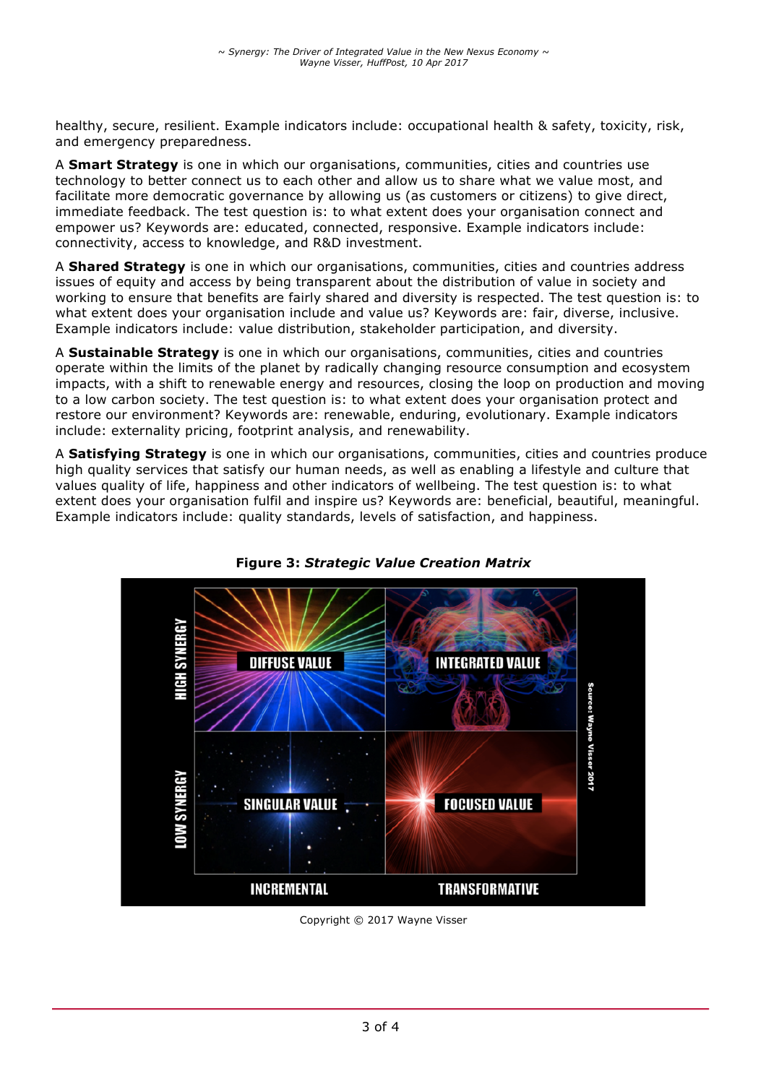healthy, secure, resilient. Example indicators include: occupational health & safety, toxicity, risk, and emergency preparedness.

A **Smart Strategy** is one in which our organisations, communities, cities and countries use technology to better connect us to each other and allow us to share what we value most, and facilitate more democratic governance by allowing us (as customers or citizens) to give direct, immediate feedback. The test question is: to what extent does your organisation connect and empower us? Keywords are: educated, connected, responsive. Example indicators include: connectivity, access to knowledge, and R&D investment.

A **Shared Strategy** is one in which our organisations, communities, cities and countries address issues of equity and access by being transparent about the distribution of value in society and working to ensure that benefits are fairly shared and diversity is respected. The test question is: to what extent does your organisation include and value us? Keywords are: fair, diverse, inclusive. Example indicators include: value distribution, stakeholder participation, and diversity.

A **Sustainable Strategy** is one in which our organisations, communities, cities and countries operate within the limits of the planet by radically changing resource consumption and ecosystem impacts, with a shift to renewable energy and resources, closing the loop on production and moving to a low carbon society. The test question is: to what extent does your organisation protect and restore our environment? Keywords are: renewable, enduring, evolutionary. Example indicators include: externality pricing, footprint analysis, and renewability.

A **Satisfying Strategy** is one in which our organisations, communities, cities and countries produce high quality services that satisfy our human needs, as well as enabling a lifestyle and culture that values quality of life, happiness and other indicators of wellbeing. The test question is: to what extent does your organisation fulfil and inspire us? Keywords are: beneficial, beautiful, meaningful. Example indicators include: quality standards, levels of satisfaction, and happiness.



**Figure 3:** *Strategic Value Creation Matrix*

Copyright © 2017 Wayne Visser